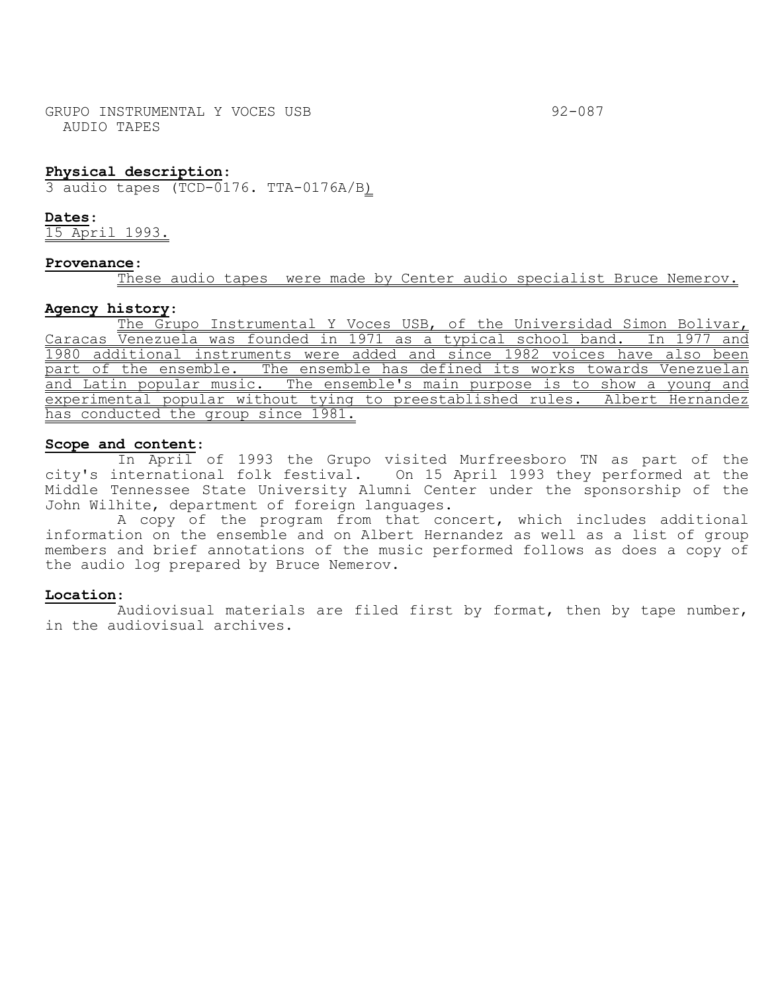GRUPO INSTRUMENTAL Y VOCES USB 32-087 AUDIO TAPES

# **Physical description**:

3 audio tapes (TCD-0176. TTA-0176A/B)

**Dates**:

15 April 1993.

### **Provenance**:

These audio tapes were made by Center audio specialist Bruce Nemerov.

### **Agency history**:

The Grupo Instrumental Y Voces USB, of the Universidad Simon Bolivar, Caracas Venezuela was founded in 1971 as a typical school band. In 1977 and 1980 additional instruments were added and since 1982 voices have also been part of the ensemble. The ensemble has defined its works towards Venezuelan and Latin popular music. The ensemble's main purpose is to show a young and experimental popular without tying to preestablished rules. Albert Hernandez has conducted the group since 1981.

### **Scope and content**:

In April of 1993 the Grupo visited Murfreesboro TN as part of the city's international folk festival. On 15 April 1993 they performed at the Middle Tennessee State University Alumni Center under the sponsorship of the John Wilhite, department of foreign languages.

A copy of the program from that concert, which includes additional information on the ensemble and on Albert Hernandez as well as a list of group members and brief annotations of the music performed follows as does a copy of the audio log prepared by Bruce Nemerov.

## **Location**:

Audiovisual materials are filed first by format, then by tape number, in the audiovisual archives.